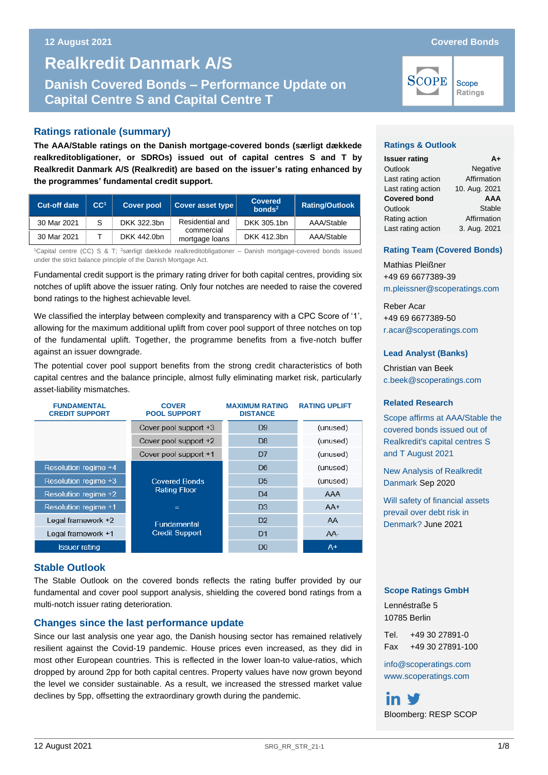Scope Ratings

# **Danish Covered Bonds – Performance Update on Capital Centre S and Realkredit Danmark A/S Danish Covered Bonds – Performance Update on Capital Centre S and Capital Centre T**

## **Ratings rationale (summary)**

**The AAA/Stable ratings on the Danish mortgage-covered bonds (særligt dækkede realkreditobligationer, or SDROs) issued out of capital centres S and T by Realkredit Danmark A/S (Realkredit) are based on the issuer's rating enhanced by the programmes' fundamental credit support.** 

| <b>Cut-off date</b> | CC <sup>1</sup> | <b>Cover pool</b> | Cover asset type             | <b>Covered</b><br>bonds <sup>2</sup> | <b>Rating/Outlook</b> |
|---------------------|-----------------|-------------------|------------------------------|--------------------------------------|-----------------------|
| 30 Mar 2021         |                 | DKK 322.3bn       | Residential and              | DKK 305.1bn                          | AAA/Stable            |
| 30 Mar 2021         |                 | DKK 442.0bn       | commercial<br>mortgage loans | DKK 412.3bn                          | AAA/Stable            |

<sup>1</sup>Capital centre (CC) S & T; <sup>2</sup>særligt dækkede realkreditobligationer – Danish mortgage-covered bonds issued under the strict balance principle of the Danish Mortgage Act.

Fundamental credit support is the primary rating driver for both capital centres, providing six notches of uplift above the issuer rating. Only four notches are needed to raise the covered bond ratings to the highest achievable level.

We classified the interplay between complexity and transparency with a CPC Score of '1', allowing for the maximum additional uplift from cover pool support of three notches on top of the fundamental uplift. Together, the programme benefits from a five-notch buffer against an issuer downgrade.

The potential cover pool support benefits from the strong credit characteristics of both capital centres and the balance principle, almost fully eliminating market risk, particularly asset-liability mismatches.

| <b>FUNDAMENTAL</b><br><b>CREDIT SUPPORT</b> | <b>COVER</b><br><b>POOL SUPPORT</b> | <b>MAXIMUM RATING</b><br><b>DISTANCE</b> | <b>RATING UPLIFT</b> |
|---------------------------------------------|-------------------------------------|------------------------------------------|----------------------|
|                                             | Cover pool support +3               | D9                                       | (unused)             |
|                                             | Cover pool support +2               | D <sub>8</sub>                           | (unused)             |
|                                             | Cover pool support +1               | D7                                       | (unused)             |
| Resolution regime +4                        |                                     | D6                                       | (unused)             |
| Resolution regime +3                        | <b>Covered Bonds</b>                | D <sub>5</sub>                           | (unused)             |
| Resolution regime +2                        | <b>Rating Floor</b>                 | D <sub>4</sub>                           | AAA                  |
| <b>Resolution regime +1</b>                 | $=$                                 | D <sub>3</sub>                           | $AA+$                |
| Legal framework +2                          | <b>Fundamental</b>                  | D <sub>2</sub>                           | AA                   |
| Legal framework +1                          | <b>Credit Support</b>               | D <sub>1</sub>                           | AA-                  |
| <b>Issuer rating</b>                        |                                     | D <sub>0</sub>                           | $A+$                 |

## **Stable Outlook**

The Stable Outlook on the covered bonds reflects the rating buffer provided by our fundamental and cover pool support analysis, shielding the covered bond ratings from a multi-notch issuer rating deterioration.

## **Changes since the last performance update**

Since our last analysis one year ago, the Danish housing sector has remained relatively resilient against the Covid-19 pandemic. House prices even increased, as they did in most other European countries. This is reflected in the lower loan-to value-ratios, which dropped by around 2pp for both capital centres. Property values have now grown beyond the level we consider sustainable. As a result, we increased the stressed market value declines by 5pp, offsetting the extraordinary growth during the pandemic.

**SCOPE** 

## **Ratings & Outlook**

| <b>Issuer rating</b> | Δ+            |
|----------------------|---------------|
| Outlook              | Negative      |
| Last rating action   | Affirmation   |
| Last rating action   | 10. Aug. 2021 |
| <b>Covered bond</b>  | <b>AAA</b>    |
| Outlook              | Stable        |
| Rating action        | Affirmation   |
| Last rating action   | 3. Aug. 2021  |

## **Rating Team (Covered Bonds)**

Mathias Pleißner +49 69 6677389-39 [m.pleissner@scoperatings.com](mailto:m.pleissner@scoperatings.com)

Reber Acar +49 69 6677389-50 [r.acar@scoperatings.com](mailto:r.acar@scoperatings.com)

## **Lead Analyst (Banks)**

Christian van Beek [c.beek@scoperatings.com](mailto:c.beek@scoperatings.com)

#### **Related Research**

[Scope affirms at AAA/Stable the](https://www.scoperatings.com/#!search/research/detail/168257EN)  [covered bonds issued out of](https://www.scoperatings.com/#!search/research/detail/168257EN)  [Realkredit's capital centres](https://www.scoperatings.com/#!search/research/detail/168257EN) S [and T August 2021](https://www.scoperatings.com/#!search/research/detail/168257EN)

[New Analysis of Realkredit](https://www.scoperatings.com/ScopeRatingsApi/api/downloadanalysis?id=fc1630aa-2b8f-4f18-8ae5-d3755b66d6b9)  [Danmark](https://www.scoperatings.com/ScopeRatingsApi/api/downloadanalysis?id=fc1630aa-2b8f-4f18-8ae5-d3755b66d6b9) Sep 2020

[Will safety of financial assets](https://www.scoperatings.com/ScopeRatingsApi/api/downloadstudy?id=61631e56-49ff-4e04-ae92-15c591da13ad)  [prevail over debt risk in](https://www.scoperatings.com/ScopeRatingsApi/api/downloadstudy?id=61631e56-49ff-4e04-ae92-15c591da13ad)  [Denmark?](https://www.scoperatings.com/ScopeRatingsApi/api/downloadstudy?id=61631e56-49ff-4e04-ae92-15c591da13ad) June 2021

## **Scope Ratings GmbH**

Lennéstraße 5 10785 Berlin

Tel. +49 30 27891-0 Fax +49 30 27891-100

[info@scoperatings.com](mailto:info@scoperatings.com) [www.scoperatings.com](https://www.scoperatings.com/#home)

Bloomberg: RESP SCOP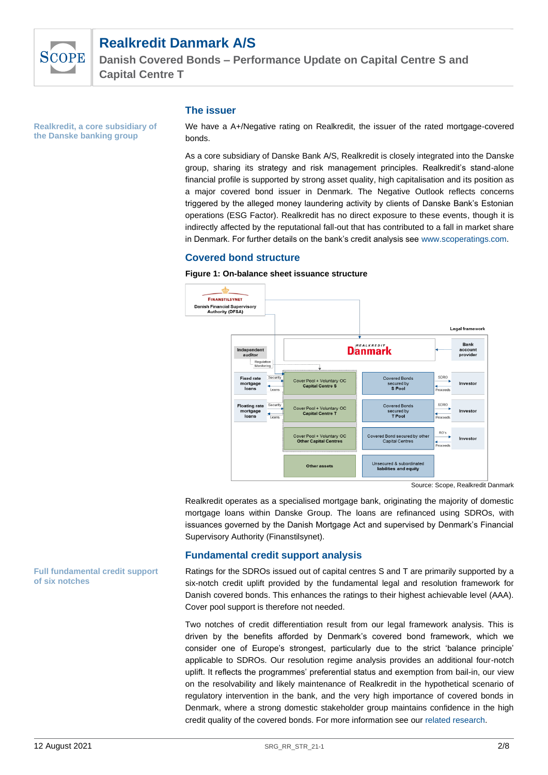

**Danish Covered Bonds – Performance Update on Capital Centre S and Capital Centre T**

**Realkredit, a core subsidiary of the Danske banking group**

## **The issuer**

We have a A+/Negative rating on Realkredit, the issuer of the rated mortgage-covered bonds.

As a core subsidiary of Danske Bank A/S, Realkredit is closely integrated into the Danske group, sharing its strategy and risk management principles. Realkredit's stand-alone financial profile is supported by strong asset quality, high capitalisation and its position as a major covered bond issuer in Denmark. The Negative Outlook reflects concerns triggered by the alleged money laundering activity by clients of Danske Bank's Estonian operations (ESG Factor). Realkredit has no direct exposure to these events, though it is indirectly affected by the reputational fall-out that has contributed to a fall in market share in Denmark. For further details on the bank's credit analysis see [www.scoperatings.com.](http://www.scoperatings.com/)

## **Covered bond structure**

#### **Figure 1: On-balance sheet issuance structure**



Source: Scope, Realkredit Danmark

Realkredit operates as a specialised mortgage bank, originating the majority of domestic mortgage loans within Danske Group. The loans are refinanced using SDROs, with issuances governed by the Danish Mortgage Act and supervised by Denmark's Financial Supervisory Authority (Finanstilsynet).

## **Fundamental credit support analysis**

Ratings for the SDROs issued out of capital centres S and T are primarily supported by a six-notch credit uplift provided by the fundamental legal and resolution framework for Danish covered bonds. This enhances the ratings to their highest achievable level (AAA). Cover pool support is therefore not needed.

Two notches of credit differentiation result from our legal framework analysis. This is driven by the benefits afforded by Denmark's covered bond framework, which we consider one of Europe's strongest, particularly due to the strict 'balance principle' applicable to SDROs. Our resolution regime analysis provides an additional four-notch uplift. It reflects the programmes' preferential status and exemption from bail-in, our view on the resolvability and likely maintenance of Realkredit in the hypothetical scenario of regulatory intervention in the bank, and the very high importance of covered bonds in Denmark, where a strong domestic stakeholder group maintains confidence in the high credit quality of the covered bonds. For more information see our [related research.](https://www.scoperatings.com/#search/research/detail/157781EN)

**Full fundamental credit support of six notches**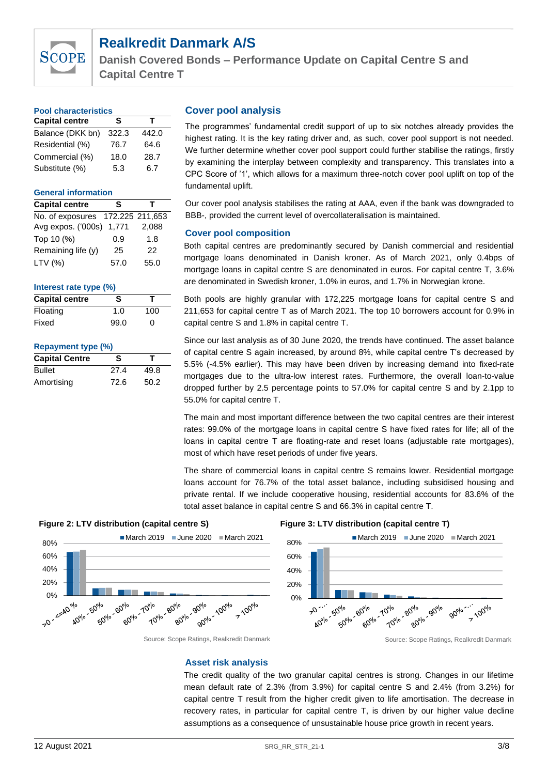

**Danish Covered Bonds – Performance Update on Capital Centre S and Capital Centre T**

| <b>Pool characteristics</b> |       |       |  |  |  |
|-----------------------------|-------|-------|--|--|--|
| <b>Capital centre</b>       | s     | т     |  |  |  |
| Balance (DKK bn)            | 322.3 | 442.0 |  |  |  |
| Residential (%)             | 76.7  | 64.6  |  |  |  |
| Commercial (%)              | 18.0  | 28.7  |  |  |  |
| Substitute (%)              | 5.3   | 6.7   |  |  |  |

## **General information**

| <b>Capital centre</b>            | s    |       |
|----------------------------------|------|-------|
| No. of exposures 172.225 211,653 |      |       |
| Avg expos. ('000s) 1,771         |      | 2,088 |
| Top 10 (%)                       | 0.9  | 1.8   |
| Remaining life (y)               | 25   | 22    |
| LTV (%)                          | 57.0 | 55.0  |

## **Interest rate type (%)**

| <b>Capital centre</b> | s    |     |
|-----------------------|------|-----|
| Floating              | 1.0  | 100 |
| Fixed                 | 99.0 | O   |

#### **Repayment type (%)**

| <b>Capital Centre</b> | s    |      |
|-----------------------|------|------|
| <b>Bullet</b>         | 27.4 | 49.8 |
| Amortising            | 72.6 | 50.2 |

## **Cover pool analysis**

The programmes' fundamental credit support of up to six notches already provides the highest rating. It is the key rating driver and, as such, cover pool support is not needed. We further determine whether cover pool support could further stabilise the ratings, firstly by examining the interplay between complexity and transparency. This translates into a CPC Score of '1', which allows for a maximum three-notch cover pool uplift on top of the fundamental uplift.

Our cover pool analysis stabilises the rating at AAA, even if the bank was downgraded to BBB-, provided the current level of overcollateralisation is maintained.

## **Cover pool composition**

Both capital centres are predominantly secured by Danish commercial and residential mortgage loans denominated in Danish kroner. As of March 2021, only 0.4bps of mortgage loans in capital centre S are denominated in euros. For capital centre T, 3.6% are denominated in Swedish kroner, 1.0% in euros, and 1.7% in Norwegian krone.

Both pools are highly granular with 172,225 mortgage loans for capital centre S and 211,653 for capital centre T as of March 2021. The top 10 borrowers account for 0.9% in capital centre S and 1.8% in capital centre T.

Since our last analysis as of 30 June 2020, the trends have continued. The asset balance of capital centre S again increased, by around 8%, while capital centre T's decreased by 5.5% (-4.5% earlier). This may have been driven by increasing demand into fixed-rate mortgages due to the ultra-low interest rates. Furthermore, the overall loan-to-value dropped further by 2.5 percentage points to 57.0% for capital centre S and by 2.1pp to 55.0% for capital centre T.

The main and most important difference between the two capital centres are their interest rates: 99.0% of the mortgage loans in capital centre S have fixed rates for life; all of the loans in capital centre T are floating-rate and reset loans (adjustable rate mortgages), most of which have reset periods of under five years.

The share of commercial loans in capital centre S remains lower. Residential mortgage loans account for 76.7% of the total asset balance, including subsidised housing and private rental. If we include cooperative housing, residential accounts for 83.6% of the total asset balance in capital centre S and 66.3% in capital centre T.







Source: Scope Ratings, Realkredit Danmark Source: Scope Ratings, Realkredit Danmark

#### **Asset risk analysis**

The credit quality of the two granular capital centres is strong. Changes in our lifetime mean default rate of 2.3% (from 3.9%) for capital centre S and 2.4% (from 3.2%) for capital centre T result from the higher credit given to life amortisation. The decrease in recovery rates, in particular for capital centre T, is driven by our higher value decline assumptions as a consequence of unsustainable house price growth in recent years.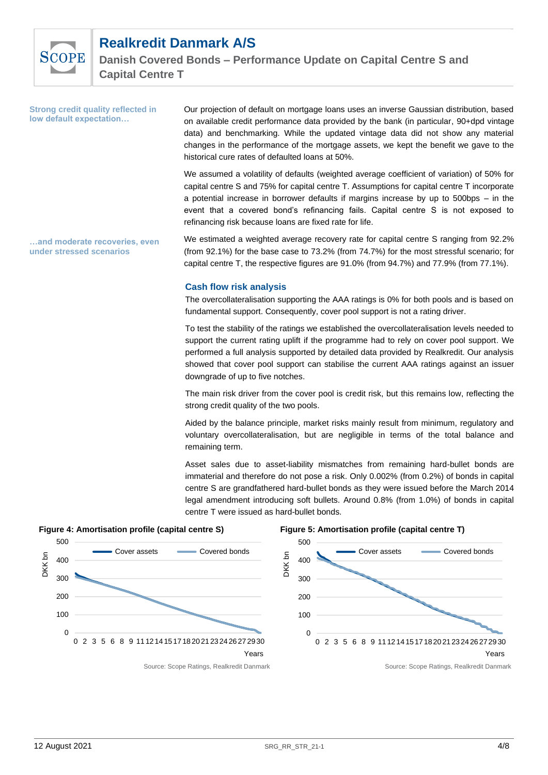

**Strong credit quality reflected in** 

# **Realkredit Danmark A/S**

on available credit performance data provided by the bank (in particular, 90+dpd vintage data) and benchmarking. While the updated vintage data did not show any material changes in the performance of the mortgage assets, we kept the benefit we gave to the historical cure rates of defaulted loans at 50%. We assumed a volatility of defaults (weighted average coefficient of variation) of 50% for capital centre S and 75% for capital centre T. Assumptions for capital centre T incorporate a potential increase in borrower defaults if margins increase by up to 500bps – in the event that a covered bond's refinancing fails. Capital centre S is not exposed to refinancing risk because loans are fixed rate for life. We estimated a weighted average recovery rate for capital centre S ranging from 92.2% (from 92.1%) for the base case to 73.2% (from 74.7%) for the most stressful scenario; for capital centre T, the respective figures are 91.0% (from 94.7%) and 77.9% (from 77.1%). **Cash flow risk analysis low default expectation… …and moderate recoveries, even under stressed scenarios**

The overcollateralisation supporting the AAA ratings is 0% for both pools and is based on fundamental support. Consequently, cover pool support is not a rating driver.

Our projection of default on mortgage loans uses an inverse Gaussian distribution, based

To test the stability of the ratings we established the overcollateralisation levels needed to support the current rating uplift if the programme had to rely on cover pool support. We performed a full analysis supported by detailed data provided by Realkredit. Our analysis showed that cover pool support can stabilise the current AAA ratings against an issuer downgrade of up to five notches.

The main risk driver from the cover pool is credit risk, but this remains low, reflecting the strong credit quality of the two pools.

Aided by the balance principle, market risks mainly result from minimum, regulatory and voluntary overcollateralisation, but are negligible in terms of the total balance and remaining term.

Asset sales due to asset-liability mismatches from remaining hard-bullet bonds are immaterial and therefore do not pose a risk. Only 0.002% (from 0.2%) of bonds in capital centre S are grandfathered hard-bullet bonds as they were issued before the March 2014 legal amendment introducing soft bullets. Around 0.8% (from 1.0%) of bonds in capital centre T were issued as hard-bullet bonds.

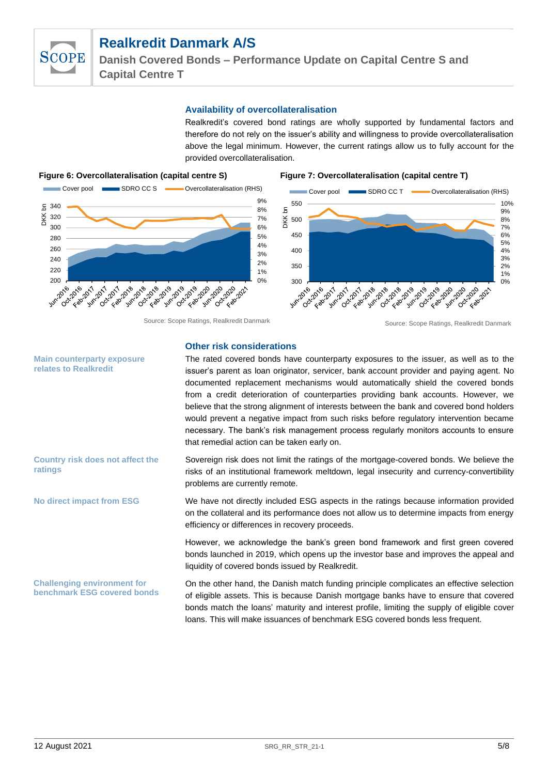

**Danish Covered Bonds – Performance Update on Capital Centre S and Capital Centre T**

## **Availability of overcollateralisation**

Realkredit's covered bond ratings are wholly supported by fundamental factors and therefore do not rely on the issuer's ability and willingness to provide overcollateralisation above the legal minimum. However, the current ratings allow us to fully account for the provided overcollateralisation.

## **Figure 6: Overcollateralisation (capital centre S) Figure 7: Overcollateralisation (capital centre T)**





### **Other risk considerations**

The rated covered bonds have counterparty exposures to the issuer, as well as to the issuer's parent as loan originator, servicer, bank account provider and paying agent. No documented replacement mechanisms would automatically shield the covered bonds from a credit deterioration of counterparties providing bank accounts. However, we believe that the strong alignment of interests between the bank and covered bond holders would prevent a negative impact from such risks before regulatory intervention became necessary. The bank's risk management process regularly monitors accounts to ensure that remedial action can be taken early on.

Sovereign risk does not limit the ratings of the mortgage-covered bonds. We believe the risks of an institutional framework meltdown, legal insecurity and currency-convertibility problems are currently remote.

> We have not directly included ESG aspects in the ratings because information provided on the collateral and its performance does not allow us to determine impacts from energy efficiency or differences in recovery proceeds.

> However, we acknowledge the bank's green bond framework and first green covered bonds launched in 2019, which opens up the investor base and improves the appeal and liquidity of covered bonds issued by Realkredit.

> On the other hand, the Danish match funding principle complicates an effective selection of eligible assets. This is because Danish mortgage banks have to ensure that covered bonds match the loans' maturity and interest profile, limiting the supply of eligible cover loans. This will make issuances of benchmark ESG covered bonds less frequent.

**Main counterparty exposure relates to Realkredit**

**Country risk does not affect the ratings**

**No direct impact from ESG**

**Challenging environment for benchmark ESG covered bonds**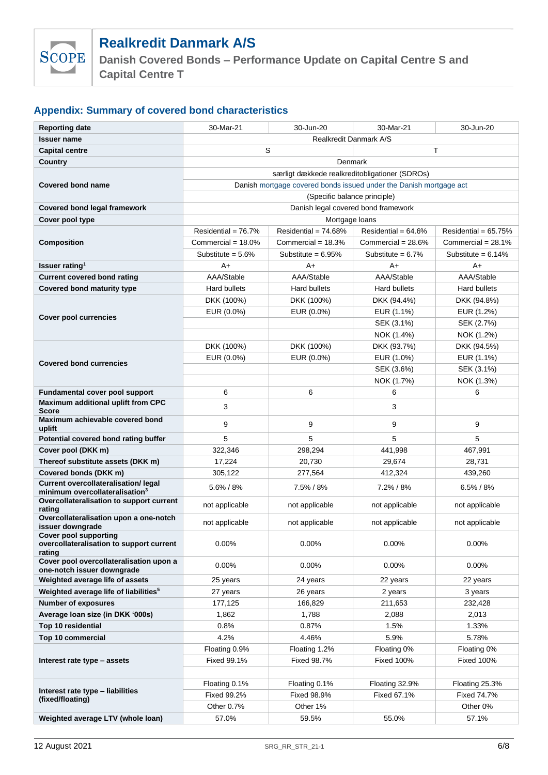

**Danish Covered Bonds – Performance Update on Capital Centre S and Capital Centre T**

## **Appendix: Summary of covered bond characteristics**

| <b>Reporting date</b>                                                             | 30-Mar-21                                                          | 30-Jun-20                    | 30-Mar-21             | 30-Jun-20              |  |  |
|-----------------------------------------------------------------------------------|--------------------------------------------------------------------|------------------------------|-----------------------|------------------------|--|--|
| <b>Issuer name</b>                                                                | Realkredit Danmark A/S                                             |                              |                       |                        |  |  |
| <b>Capital centre</b>                                                             | S<br>T                                                             |                              |                       |                        |  |  |
| Country                                                                           | Denmark                                                            |                              |                       |                        |  |  |
|                                                                                   | særligt dækkede realkreditobligationer (SDROs)                     |                              |                       |                        |  |  |
| <b>Covered bond name</b>                                                          | Danish mortgage covered bonds issued under the Danish mortgage act |                              |                       |                        |  |  |
|                                                                                   |                                                                    | (Specific balance principle) |                       |                        |  |  |
| Covered bond legal framework                                                      | Danish legal covered bond framework                                |                              |                       |                        |  |  |
| Cover pool type                                                                   | Mortgage loans                                                     |                              |                       |                        |  |  |
|                                                                                   | Residential = $76.7%$                                              | Residential = $74.68%$       | Residential = $64.6%$ | Residential = $65.75%$ |  |  |
| <b>Composition</b>                                                                | Commercial = $18.0\%$                                              | Commercial = $18.3\%$        | Commercial = $28.6%$  | Commercial = $28.1\%$  |  |  |
|                                                                                   | Substitute = $5.6\%$                                               | Substitute = $6.95%$         | Substitute = $6.7\%$  | Substitute = $6.14\%$  |  |  |
| <b>Issuer rating</b> <sup>1</sup>                                                 | A+                                                                 | A+                           | A+                    | A+                     |  |  |
| <b>Current covered bond rating</b>                                                | AAA/Stable                                                         | AAA/Stable                   | AAA/Stable            | AAA/Stable             |  |  |
| Covered bond maturity type                                                        | <b>Hard bullets</b>                                                | Hard bullets                 | <b>Hard bullets</b>   | Hard bullets           |  |  |
|                                                                                   | DKK (100%)                                                         | DKK (100%)                   | DKK (94.4%)           | DKK (94.8%)            |  |  |
|                                                                                   | EUR (0.0%)                                                         | EUR (0.0%)                   | EUR (1.1%)            | EUR (1.2%)             |  |  |
| <b>Cover pool currencies</b>                                                      |                                                                    |                              | SEK (3.1%)            | SEK (2.7%)             |  |  |
|                                                                                   |                                                                    |                              | NOK (1.4%)            | NOK (1.2%)             |  |  |
|                                                                                   | DKK (100%)                                                         | DKK (100%)                   | DKK (93.7%)           | DKK (94.5%)            |  |  |
| <b>Covered bond currencies</b>                                                    | EUR (0.0%)                                                         | EUR (0.0%)                   | EUR (1.0%)            | EUR (1.1%)             |  |  |
|                                                                                   |                                                                    |                              | SEK (3.6%)            | SEK (3.1%)             |  |  |
|                                                                                   |                                                                    |                              | NOK (1.7%)            | NOK (1.3%)             |  |  |
| Fundamental cover pool support                                                    | 6                                                                  | 6                            | 6                     | 6                      |  |  |
| Maximum additional uplift from CPC                                                | 3                                                                  |                              | 3                     |                        |  |  |
| <b>Score</b><br>Maximum achievable covered bond                                   |                                                                    |                              |                       |                        |  |  |
| uplift                                                                            | 9                                                                  | 9                            | 9                     | 9                      |  |  |
| Potential covered bond rating buffer                                              | 5                                                                  | 5                            | 5                     | 5                      |  |  |
| Cover pool (DKK m)                                                                | 322,346                                                            | 298,294                      | 441,998               | 467,991                |  |  |
| Thereof substitute assets (DKK m)                                                 | 17,224                                                             | 20,730                       | 29,674                | 28,731                 |  |  |
| Covered bonds (DKK m)                                                             | 305,122                                                            | 277,564                      | 412,324               | 439,260                |  |  |
| Current overcollateralisation/legal<br>minimum overcollateralisation <sup>3</sup> | 5.6% / 8%                                                          | 7.5% / 8%                    | 7.2% / 8%             | $6.5\% / 8\%$          |  |  |
| Overcollateralisation to support current                                          | not applicable                                                     | not applicable               | not applicable        | not applicable         |  |  |
| rating<br>Overcollateralisation upon a one-notch                                  |                                                                    |                              |                       |                        |  |  |
| issuer downgrade                                                                  | not applicable                                                     | not applicable               | not applicable        | not applicable         |  |  |
| <b>Cover pool supporting</b>                                                      |                                                                    |                              |                       |                        |  |  |
| overcollateralisation to support current<br>rating                                | 0.00%                                                              | 0.00%                        | 0.00%                 | 0.00%                  |  |  |
| Cover pool overcollateralisation upon a                                           | 0.00%                                                              | $0.00\%$                     | $0.00\%$              | $0.00\%$               |  |  |
| one-notch issuer downgrade                                                        |                                                                    |                              |                       |                        |  |  |
| Weighted average life of assets                                                   | 25 years                                                           | 24 years                     | 22 years              | 22 years               |  |  |
| Weighted average life of liabilities <sup>5</sup>                                 | 27 years                                                           | 26 years                     | 2 years               | 3 years                |  |  |
| Number of exposures                                                               | 177,125                                                            | 166,829                      | 211,653               | 232,428                |  |  |
| Average Ioan size (in DKK '000s)                                                  | 1,862                                                              | 1,788                        | 2,088                 | 2,013                  |  |  |
| Top 10 residential                                                                | 0.8%                                                               | 0.87%                        | 1.5%                  | 1.33%                  |  |  |
| Top 10 commercial                                                                 | 4.2%                                                               | 4.46%                        | 5.9%                  | 5.78%                  |  |  |
|                                                                                   | Floating 0.9%                                                      | Floating 1.2%                | Floating 0%           | Floating 0%            |  |  |
| Interest rate type - assets                                                       | <b>Fixed 99.1%</b>                                                 | Fixed 98.7%                  | <b>Fixed 100%</b>     | Fixed 100%             |  |  |
|                                                                                   |                                                                    |                              |                       |                        |  |  |
| Interest rate type - liabilities                                                  | Floating 0.1%                                                      | Floating 0.1%                | Floating 32.9%        | Floating 25.3%         |  |  |
| (fixed/floating)                                                                  | Fixed 99.2%                                                        | Fixed 98.9%                  | Fixed 67.1%           | Fixed 74.7%            |  |  |
|                                                                                   | Other 0.7%                                                         | Other 1%                     |                       | Other 0%               |  |  |
| Weighted average LTV (whole loan)                                                 | 57.0%                                                              | 59.5%                        | 55.0%                 | 57.1%                  |  |  |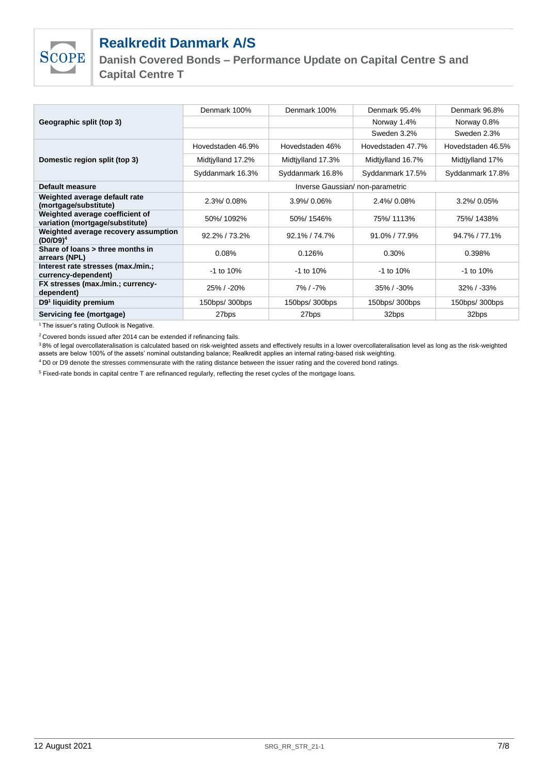

**Danish Covered Bonds – Performance Update on Capital Centre S and Capital Centre T**

|                                                                    | Denmark 100%                     | Denmark 100%      | Denmark 95.4%     | Denmark 96.8%     |
|--------------------------------------------------------------------|----------------------------------|-------------------|-------------------|-------------------|
| Geographic split (top 3)                                           |                                  |                   | Norway 1.4%       | Norway 0.8%       |
|                                                                    |                                  |                   | Sweden 3.2%       | Sweden 2.3%       |
|                                                                    | Hovedstaden 46.9%                | Hovedstaden 46%   | Hovedstaden 47.7% | Hovedstaden 46.5% |
| Domestic region split (top 3)                                      | Midtiylland 17.2%                | Midtiylland 17.3% | Midtiylland 16.7% | Midtiylland 17%   |
|                                                                    | Syddanmark 16.3%                 | Syddanmark 16.8%  | Syddanmark 17.5%  | Syddanmark 17.8%  |
| Default measure                                                    | Inverse Gaussian/ non-parametric |                   |                   |                   |
| Weighted average default rate<br>(mortgage/substitute)             | 2.3%/0.08%                       | $3.9\%$ 0.06%     | $2.4\%$ 0.08%     | 3.2%/0.05%        |
| Weighted average coefficient of<br>variation (mortgage/substitute) | 50%/1092%                        | 50%/1546%         | 75%/1113%         | 75%/1438%         |
| Weighted average recovery assumption<br>$(D0/D9)^4$                | 92.2% / 73.2%                    | 92.1% / 74.7%     | $91.0\%$ / 77.9%  | 94.7% / 77.1%     |
| Share of loans > three months in<br>arrears (NPL)                  | 0.08%                            | 0.126%            | 0.30%             | 0.398%            |
| Interest rate stresses (max./min.;<br>currency-dependent)          | $-1$ to 10%                      | $-1$ to 10%       | $-1$ to 10%       | $-1$ to 10%       |
| FX stresses (max./min.; currency-<br>dependent)                    | $25\%$ / -20%                    | $7\%$ / -7%       | $35\% / - 30\%$   | $32\%$ / $-33\%$  |
| D9 <sup>1</sup> liquidity premium                                  | 150bps/ 300bps                   | 150bps/ 300bps    | 150bps/ 300bps    | 150bps/ 300bps    |
| Servicing fee (mortgage)                                           | 27bps                            | 27bps             | 32bps             | 32bps             |

<sup>1</sup> The issuer's rating Outlook is Negative.

<sup>2</sup>Covered bonds issued after 2014 can be extended if refinancing fails.

<sup>3</sup>8% of legal overcollateralisation is calculated based on risk-weighted assets and effectively results in a lower overcollateralisation level as long as the risk-weighted assets are below 100% of the assets' nominal outstanding balance; Realkredit applies an internal rating-based risk weighting.

<sup>4</sup>D0 or D9 denote the stresses commensurate with the rating distance between the issuer rating and the covered bond ratings.

<sup>5</sup> Fixed-rate bonds in capital centre T are refinanced regularly, reflecting the reset cycles of the mortgage loans.